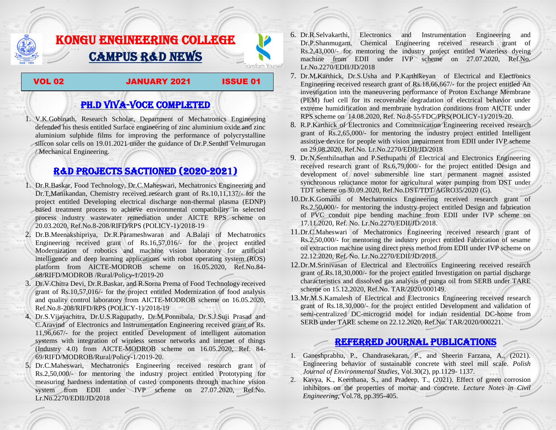# KONGU ENGINEERING COLLEGE CAMPUS R&D NEWS

VOL 02 JANUARY 2021 ISSUE 01

**Transform Yourself** 

# PH.D VIVA-VOCE COMPLETED

1. V.K.Gobinath, Research Scholar, Department of Mechatronics Engineering defended his thesis entitled Surface engineering of zinc aluminium oxide and zinc aluminium sulphide films for improving the performance of polycrystalline silicon solar cells on 19.01.2021 under the guidance of Dr.P.Senthil Velmurugan / Mechanical Engineering.

## R&D PROJECTS SACTIONED (2020-2021)

- 1. Dr.R.Baskar, Food Technology, Dr.C.Maheswari, Mechatronics Engineering and Dr.T.Manikandan, Chemistry received research grant of Rs.10,11,137/- for the project entitled Developing electrical discharge non-thermal plasma (EDNP) based treatment process to achieve environmental compatibility in selected process industry wastewater remediation under AICTE RPS scheme on 20.03.2020, Ref.No.8-208/RIFD/RPS (POLICY-1)/2018-19
- 2. Dr.B.Meenakshipriya, Dr.R.Parameshwaran and A.Balaji of Mechatronics Engineering received grant of Rs.16,57,016/- for the project entitled Modernization [of robotics and machine vision laboratory for artificial](http://rnd.kongu.edu/ractivities/mts/data/)  [intelligence and deep learning applications with robot operating system \(ROS\)](http://rnd.kongu.edu/ractivities/mts/data/)  [platform](http://rnd.kongu.edu/ractivities/mts/data/) from AICTE-MODROB scheme on 16.05.2020, Ref.No.84- 68/RIFD/MODROB /Rural/Policy-1/2019-20
- 3. Dr.V.Chitra Devi, Dr.R.Baskar, and R.Sorna Prema of Food Technology received grant of Rs.10,57,016/- for the project entitled Modernization of food analysis and quality control laboratory from AICTE-MODROB scheme on 16.05.2020, Ref.No.8-208/RIFD/RPS (POLICY-1)/2018-19
- 4. Dr.S.Vijayachitra, Dr.U.S.Ragupathy, Dr.M.Ponnibala, Dr.S.J.Suji Prasad and C.Aravind of Electronics and Instrumentation Engineering received grant of Rs. 11,96,667/- for the project entitled Development of intelligent automation systems with integration of wireless sensor networks and internet of things (Industry 4.0) from AICTE-MODROB scheme on 16.05.2020, Ref. 84- 69/RIFD/MODROB/Rural/Policy-1/2019-20.
- 5. Dr.C.Maheswari, Mechatronics Engineering received research grant of Rs.2,50,000/- for mentoring the industry project entitled [Prototyping for](http://rnd.kongu.edu/ractivities/mts/data/)  [measuring hardness indentation of casted components through machine vision](http://rnd.kongu.edu/ractivities/mts/data/)  [system](http://rnd.kongu.edu/ractivities/mts/data/) from EDII under IVP scheme on 27.07.2020, Ref.No. Lr.No.2270/EDII/JD/2018
- 6. Dr.R.Selvakarthi, Electronics and Instrumentation Engineering and Dr.P.Shanmugam, Chemical Engineering received research grant of Rs.2,43,000/- for mentoring the industry project entitled Waterless dyeing machine from EDII under IVP scheme on 27.07.2020, Ref.No. Lr.No.2270/EDII/JD/2018
- 7. Dr.M.Karthick, Dr.S.Usha and P.Karthikeyan of Electrical and Electronics Engineering received research grant of Rs.18,66,667/- for the project entitled An investigation into the maneuvering performance of Proton Exchange Membrane (PEM) fuel cell for its recoverable degradation of electrical behavior under extreme humidification and membrane hydration conditions from AICTE under RPS scheme on 14.08.2020, Ref. No.8-55/FDC/PRS(POLICY-1)/2019-20.
- 8. R.P.Karthick of Electronics and Communication Engineering received research grant of Rs.2,65,000/- for mentoring the industry project entitled Intelligent assistive device for people with vision impairment from EDII under IVP scheme on 29.08.2020, Ref.No. Lr.No.2270/EDII/JD/2018
- 9. Dr.N.Senthilnathan and P.Sethupathi of Electrical and Electronics Engineering received research grant of Rs.6,79,000/- for the project entitled Design and development of novel submersible line start permanent magnet assisted synchronous reluctance motor for agricultural water pumping from DST under TDT scheme on 30.09.2020, Ref.No.DST/TDT/AGRO35/2020 (G).
- 10.Dr.K.Gomathi of Mechatronics Engineering received research grant of Rs.2,50,000/- for mentoring the industry project entitled Design and fabrication of PVC conduit pipe bending machine from EDII under IVP scheme on 17.11.2020, Ref. No. Lr.No.2270/EDII/JD/2018.
- 11.Dr.C.Maheswari of Mechatronics Engineering received research grant of Rs.2,50,000/- for mentoring the industry project entitled Fabrication of sesame oil extraction machine using direct press method from EDII under IVP scheme on 22.12.2020, Ref. No. Lr.No.2270/EDII/JD/2018.
- 12.Dr.M.Srinivasan of Electrical and Electronics Engineering received research grant of Rs.18,30,000/- for the project entitled Investigation on partial discharge characteristics and dissolved gas analysis of punga oil from SERB under TARE scheme on 15.12.2020, Ref.No. TAR/2020/000149.
- 13.Mr.M.S.Kamalesh of Electrical and Electronics Engineering received research grant of Rs.18,30,000/- for the project entitled Development and validation of semi-centralized DC-microgrid model for indian residential DC-home from SERB under TARE scheme on 22.12.2020, Ref.No. TAR/2020/000221.

### Referred JOURNAL publications

- 1. Ganeshprabhu, P., Chandrasekaran, P., and Sheerin Farzana, A., (2021). Engineering behavior of sustainable concrete with steel mill scale. *Polish Journal of Environmental Studies*, Vol.30(2), pp.1129- 1137.
- 2. Kavya, K., Keerthana, S., and Pradeep, T., (2021). Effect of green corrosion inhibitors on the properties of mortar and concrete. *Lecture Notes in Civil Engineering*, Vol.78, pp.395-405.